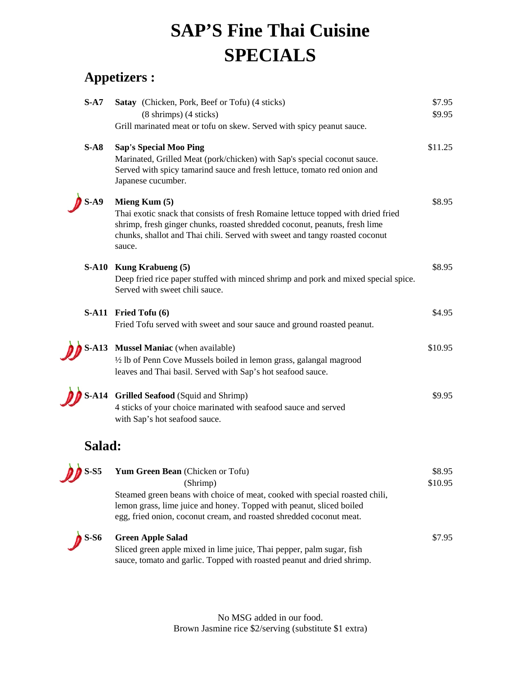## **SAP'S Fine Thai Cuisine SPECIALS**

## **Appetizers :**

| $S-A7$      | Satay (Chicken, Pork, Beef or Tofu) (4 sticks)                                                                                                                                                                                                                             | \$7.95<br>\$9.95  |
|-------------|----------------------------------------------------------------------------------------------------------------------------------------------------------------------------------------------------------------------------------------------------------------------------|-------------------|
|             | $(8 \text{ shrimps})$ $(4 \text{ sticks})$<br>Grill marinated meat or tofu on skew. Served with spicy peanut sauce.                                                                                                                                                        |                   |
| $S-AS$      | <b>Sap's Special Moo Ping</b><br>Marinated, Grilled Meat (pork/chicken) with Sap's special coconut sauce.<br>Served with spicy tamarind sauce and fresh lettuce, tomato red onion and<br>Japanese cucumber.                                                                | \$11.25           |
| <b>S-A9</b> | Mieng Kum $(5)$<br>Thai exotic snack that consists of fresh Romaine lettuce topped with dried fried<br>shrimp, fresh ginger chunks, roasted shredded coconut, peanuts, fresh lime<br>chunks, shallot and Thai chili. Served with sweet and tangy roasted coconut<br>sauce. | \$8.95            |
|             | S-A10 Kung Krabueng (5)<br>Deep fried rice paper stuffed with minced shrimp and pork and mixed special spice.<br>Served with sweet chili sauce.                                                                                                                            | \$8.95            |
|             | S-A11 Fried Tofu (6)<br>Fried Tofu served with sweet and sour sauce and ground roasted peanut.                                                                                                                                                                             | \$4.95            |
| $S-413$     | Mussel Maniac (when available)<br>1/2 lb of Penn Cove Mussels boiled in lemon grass, galangal magrood<br>leaves and Thai basil. Served with Sap's hot seafood sauce.                                                                                                       | \$10.95           |
|             | S-A14 Grilled Seafood (Squid and Shrimp)<br>4 sticks of your choice marinated with seafood sauce and served<br>with Sap's hot seafood sauce.                                                                                                                               | \$9.95            |
| Salad:      |                                                                                                                                                                                                                                                                            |                   |
| $S-S5$      | Yum Green Bean (Chicken or Tofu)<br>(Shrimp)<br>Steamed green beans with choice of meat, cooked with special roasted chili,<br>lemon grass, lime juice and honey. Topped with peanut, sliced boiled<br>egg, fried onion, coconut cream, and roasted shredded coconut meat. | \$8.95<br>\$10.95 |
| $S-S6$      | <b>Green Apple Salad</b><br>Sliced green apple mixed in lime juice, Thai pepper, palm sugar, fish<br>sauce, tomato and garlic. Topped with roasted peanut and dried shrimp.                                                                                                | \$7.95            |

No MSG added in our food. Brown Jasmine rice \$2/serving (substitute \$1 extra)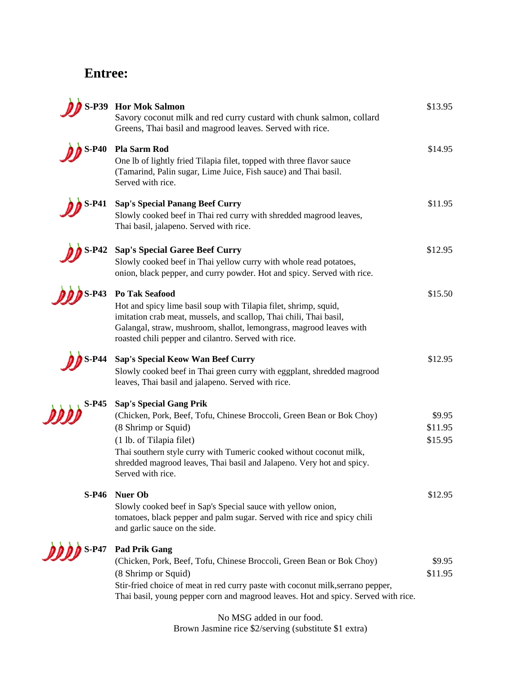## **Entree:**

|                   | S-P39 Hor Mok Salmon<br>Savory coconut milk and red curry custard with chunk salmon, collard<br>Greens, Thai basil and magrood leaves. Served with rice.                                                                                                                                                                        | \$13.95                      |
|-------------------|---------------------------------------------------------------------------------------------------------------------------------------------------------------------------------------------------------------------------------------------------------------------------------------------------------------------------------|------------------------------|
| <b>S-P40</b>      | Pla Sarm Rod<br>One lb of lightly fried Tilapia filet, topped with three flavor sauce<br>(Tamarind, Palin sugar, Lime Juice, Fish sauce) and Thai basil.<br>Served with rice.                                                                                                                                                   | \$14.95                      |
| S-P41             | <b>Sap's Special Panang Beef Curry</b><br>Slowly cooked beef in Thai red curry with shredded magrood leaves,<br>Thai basil, jalapeno. Served with rice.                                                                                                                                                                         | \$11.95                      |
| $S-P42$           | <b>Sap's Special Garee Beef Curry</b><br>Slowly cooked beef in Thai yellow curry with whole read potatoes,<br>onion, black pepper, and curry powder. Hot and spicy. Served with rice.                                                                                                                                           | \$12.95                      |
| $S-P43$           | Po Tak Seafood<br>Hot and spicy lime basil soup with Tilapia filet, shrimp, squid,<br>imitation crab meat, mussels, and scallop, Thai chili, Thai basil,<br>Galangal, straw, mushroom, shallot, lemongrass, magrood leaves with<br>roasted chili pepper and cilantro. Served with rice.                                         | \$15.50                      |
|                   | Sap's Special Keow Wan Beef Curry<br>Slowly cooked beef in Thai green curry with eggplant, shredded magrood<br>leaves, Thai basil and jalapeno. Served with rice.                                                                                                                                                               | \$12.95                      |
| <b>S-P45</b>      | <b>Sap's Special Gang Prik</b><br>(Chicken, Pork, Beef, Tofu, Chinese Broccoli, Green Bean or Bok Choy)<br>(8 Shrimp or Squid)<br>(1 lb. of Tilapia filet)<br>Thai southern style curry with Tumeric cooked without coconut milk,<br>shredded magrood leaves, Thai basil and Jalapeno. Very hot and spicy.<br>Served with rice. | \$9.95<br>\$11.95<br>\$15.95 |
|                   | S-P46 Nuer Ob<br>Slowly cooked beef in Sap's Special sauce with yellow onion,<br>tomatoes, black pepper and palm sugar. Served with rice and spicy chili<br>and garlic sauce on the side.                                                                                                                                       | \$12.95                      |
| <b>DODD</b> S-P47 | <b>Pad Prik Gang</b><br>(Chicken, Pork, Beef, Tofu, Chinese Broccoli, Green Bean or Bok Choy)<br>(8 Shrimp or Squid)<br>Stir-fried choice of meat in red curry paste with coconut milk, serrano pepper,<br>Thai basil, young pepper corn and magrood leaves. Hot and spicy. Served with rice.                                   | \$9.95<br>\$11.95            |

No MSG added in our food. Brown Jasmine rice \$2/serving (substitute \$1 extra)